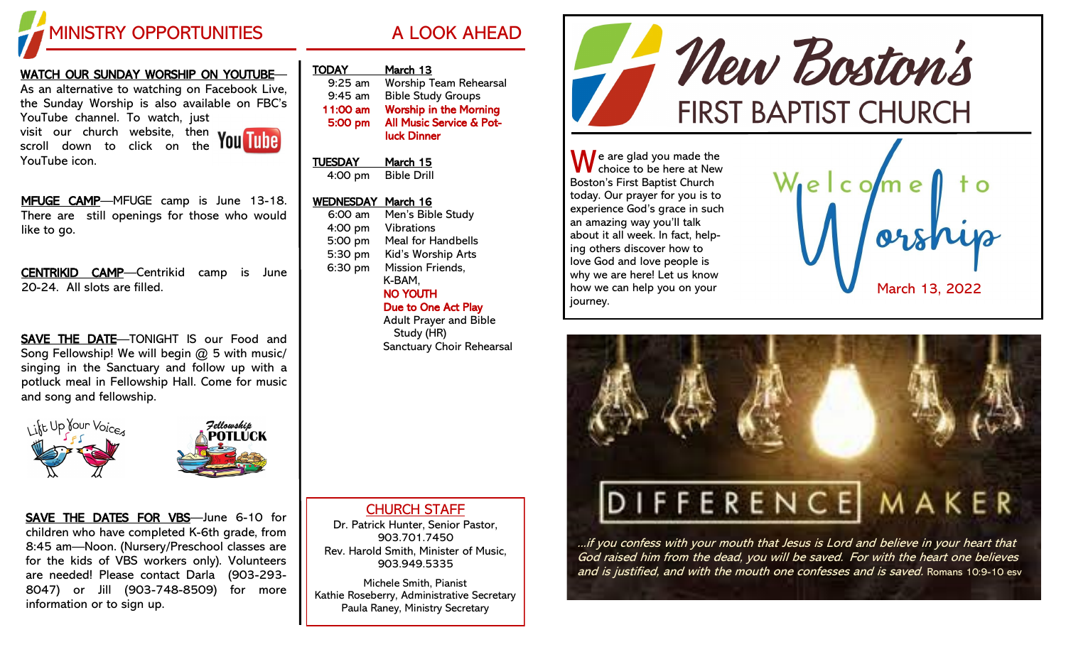

## WATCH OUR SUNDAY WORSHIP ON YOUTUBE— As an alternative to watching on Facebook Live, the Sunday Worship is also available on FBC's YouTube channel. To watch, just visit our church website, then

scroll down to click on the YouTube icon.



MFUGE CAMP-MFUGE camp is June 13-18. There are still openings for those who would like to go.

CENTRIKID CAMP—Centrikid camp is June 20-24. All slots are filled.

SAVE THE DATE—TONIGHT IS our Food and Song Fellowship! We will begin @ 5 with music/ singing in the Sanctuary and follow up with a potluck meal in Fellowship Hall. Come for music and song and fellowship.



SAVE THE DATES FOR VBS—June 6-10 for children who have completed K-6th grade, from 8:45 am—Noon. (Nursery/Preschool classes are for the kids of VBS workers only). Volunteers are needed! Please contact Darla (903-293- 8047) or Jill (903-748-8509) for more information or to sign up.

| <b>TODAY</b>   | March 13                      |
|----------------|-------------------------------|
| 9:25 am        | <b>Worship Team Rehearsal</b> |
| $9:45$ am      | <b>Bible Study Groups</b>     |
| 11:00 am       | <b>Worship in the Morning</b> |
| 5:00 pm        | All Music Service & Pot-      |
|                | <b>luck Dinner</b>            |
| <b>TUESDAY</b> | March 15                      |
| 4:00 pm        | <b>Bible Drill</b>            |

## WEDNESDAY March 16

| Men's Bible Study<br>6:00 am  |  |
|-------------------------------|--|
|                               |  |
| 4:00 pm<br><b>Vibrations</b>  |  |
| 5:00 pm<br>Meal for Handbells |  |
| 5:30 pm<br>Kid's Worship Arts |  |
| Mission Friends,<br>6:30 pm   |  |
| K-BAM,                        |  |
| NO YOUTH                      |  |
| Due to One Act Play           |  |
| <b>Adult Prayer and Bible</b> |  |
| Study (HR)                    |  |
| Sanctuary Choir Rehearsal     |  |

Mew Boston's **FIRST BAPTIST CHURCH** 

 $\bigwedge$  e are glad you made the choice to be here at New Boston's First Baptist Church today. Our prayer for you is to experience God's grace in such an amazing way you'll talk about it all week. In fact, helping others discover how to love God and love people is why we are here! Let us know how we can help you on your journey.





...if you confess with your mouth that Jesus is Lord and believe in your heart that God raised him from the dead, you will be saved. For with the heart one believes and is justified, and with the mouth one confesses and is saved. Romans 10:9-10 esv

CHURCH STAFF

Dr. Patrick Hunter, Senior Pastor, 903.701.7450 Rev. Harold Smith, Minister of Music, 903.949.5335

Michele Smith, Pianist Kathie Roseberry, Administrative Secretary Paula Raney, Ministry Secretary